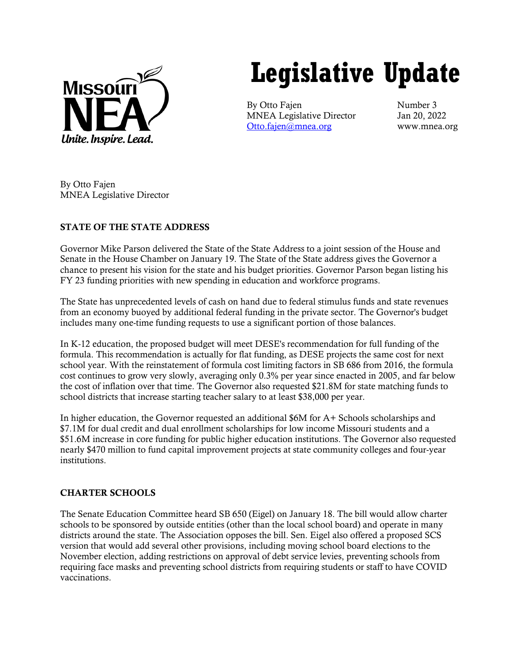

# **Legislative Update**

By Otto Fajen Number 3 MNEA Legislative Director Jan 20, 2022 [Otto.fajen@mnea.org](mailto:Otto.fajen@mnea.org) www.mnea.org

By Otto Fajen MNEA Legislative Director

# STATE OF THE STATE ADDRESS

Governor Mike Parson delivered the State of the State Address to a joint session of the House and Senate in the House Chamber on January 19. The State of the State address gives the Governor a chance to present his vision for the state and his budget priorities. Governor Parson began listing his FY 23 funding priorities with new spending in education and workforce programs.

The State has unprecedented levels of cash on hand due to federal stimulus funds and state revenues from an economy buoyed by additional federal funding in the private sector. The Governor's budget includes many one-time funding requests to use a significant portion of those balances.

In K-12 education, the proposed budget will meet DESE's recommendation for full funding of the formula. This recommendation is actually for flat funding, as DESE projects the same cost for next school year. With the reinstatement of formula cost limiting factors in SB 686 from 2016, the formula cost continues to grow very slowly, averaging only 0.3% per year since enacted in 2005, and far below the cost of inflation over that time. The Governor also requested \$21.8M for state matching funds to school districts that increase starting teacher salary to at least \$38,000 per year.

In higher education, the Governor requested an additional \$6M for A+ Schools scholarships and \$7.1M for dual credit and dual enrollment scholarships for low income Missouri students and a \$51.6M increase in core funding for public higher education institutions. The Governor also requested nearly \$470 million to fund capital improvement projects at state community colleges and four-year institutions.

# CHARTER SCHOOLS

The Senate Education Committee heard SB 650 (Eigel) on January 18. The bill would allow charter schools to be sponsored by outside entities (other than the local school board) and operate in many districts around the state. The Association opposes the bill. Sen. Eigel also offered a proposed SCS version that would add several other provisions, including moving school board elections to the November election, adding restrictions on approval of debt service levies, preventing schools from requiring face masks and preventing school districts from requiring students or staff to have COVID vaccinations.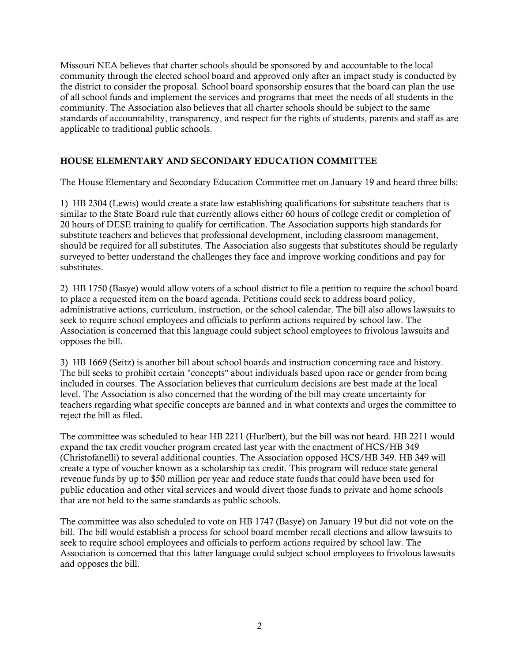Missouri NEA believes that charter schools should be sponsored by and accountable to the local community through the elected school board and approved only after an impact study is conducted by the district to consider the proposal. School board sponsorship ensures that the board can plan the use of all school funds and implement the services and programs that meet the needs of all students in the community. The Association also believes that all charter schools should be subject to the same standards of accountability, transparency, and respect for the rights of students, parents and staff as are applicable to traditional public schools.

## HOUSE ELEMENTARY AND SECONDARY EDUCATION COMMITTEE

The House Elementary and Secondary Education Committee met on January 19 and heard three bills:

1) HB 2304 (Lewis) would create a state law establishing qualifications for substitute teachers that is similar to the State Board rule that currently allows either 60 hours of college credit or completion of 20 hours of DESE training to qualify for certification. The Association supports high standards for substitute teachers and believes that professional development, including classroom management, should be required for all substitutes. The Association also suggests that substitutes should be regularly surveyed to better understand the challenges they face and improve working conditions and pay for substitutes.

2) HB 1750 (Basye) would allow voters of a school district to file a petition to require the school board to place a requested item on the board agenda. Petitions could seek to address board policy, administrative actions, curriculum, instruction, or the school calendar. The bill also allows lawsuits to seek to require school employees and officials to perform actions required by school law. The Association is concerned that this language could subject school employees to frivolous lawsuits and opposes the bill.

3) HB 1669 (Seitz) is another bill about school boards and instruction concerning race and history. The bill seeks to prohibit certain "concepts" about individuals based upon race or gender from being included in courses. The Association believes that curriculum decisions are best made at the local level. The Association is also concerned that the wording of the bill may create uncertainty for teachers regarding what specific concepts are banned and in what contexts and urges the committee to reject the bill as filed.

The committee was scheduled to hear HB 2211 (Hurlbert), but the bill was not heard. HB 2211 would expand the tax credit voucher program created last year with the enactment of HCS/HB 349 (Christofanelli) to several additional counties. The Association opposed HCS/HB 349. HB 349 will create a type of voucher known as a scholarship tax credit. This program will reduce state general revenue funds by up to \$50 million per year and reduce state funds that could have been used for public education and other vital services and would divert those funds to private and home schools that are not held to the same standards as public schools.

The committee was also scheduled to vote on HB 1747 (Basye) on January 19 but did not vote on the bill. The bill would establish a process for school board member recall elections and allow lawsuits to seek to require school employees and officials to perform actions required by school law. The Association is concerned that this latter language could subject school employees to frivolous lawsuits and opposes the bill.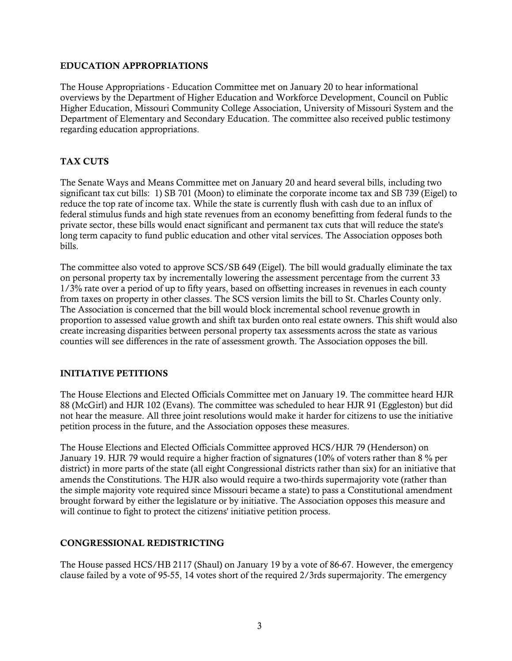#### EDUCATION APPROPRIATIONS

The House Appropriations - Education Committee met on January 20 to hear informational overviews by the Department of Higher Education and Workforce Development, Council on Public Higher Education, Missouri Community College Association, University of Missouri System and the Department of Elementary and Secondary Education. The committee also received public testimony regarding education appropriations.

## TAX CUTS

The Senate Ways and Means Committee met on January 20 and heard several bills, including two significant tax cut bills: 1) SB 701 (Moon) to eliminate the corporate income tax and SB 739 (Eigel) to reduce the top rate of income tax. While the state is currently flush with cash due to an influx of federal stimulus funds and high state revenues from an economy benefitting from federal funds to the private sector, these bills would enact significant and permanent tax cuts that will reduce the state's long term capacity to fund public education and other vital services. The Association opposes both bills.

The committee also voted to approve SCS/SB 649 (Eigel). The bill would gradually eliminate the tax on personal property tax by incrementally lowering the assessment percentage from the current 33 1/3% rate over a period of up to fifty years, based on offsetting increases in revenues in each county from taxes on property in other classes. The SCS version limits the bill to St. Charles County only. The Association is concerned that the bill would block incremental school revenue growth in proportion to assessed value growth and shift tax burden onto real estate owners. This shift would also create increasing disparities between personal property tax assessments across the state as various counties will see differences in the rate of assessment growth. The Association opposes the bill.

## INITIATIVE PETITIONS

The House Elections and Elected Officials Committee met on January 19. The committee heard HJR 88 (McGirl) and HJR 102 (Evans). The committee was scheduled to hear HJR 91 (Eggleston) but did not hear the measure. All three joint resolutions would make it harder for citizens to use the initiative petition process in the future, and the Association opposes these measures.

The House Elections and Elected Officials Committee approved HCS/HJR 79 (Henderson) on January 19. HJR 79 would require a higher fraction of signatures (10% of voters rather than 8 % per district) in more parts of the state (all eight Congressional districts rather than six) for an initiative that amends the Constitutions. The HJR also would require a two-thirds supermajority vote (rather than the simple majority vote required since Missouri became a state) to pass a Constitutional amendment brought forward by either the legislature or by initiative. The Association opposes this measure and will continue to fight to protect the citizens' initiative petition process.

## CONGRESSIONAL REDISTRICTING

The House passed HCS/HB 2117 (Shaul) on January 19 by a vote of 86-67. However, the emergency clause failed by a vote of 95-55, 14 votes short of the required 2/3rds supermajority. The emergency